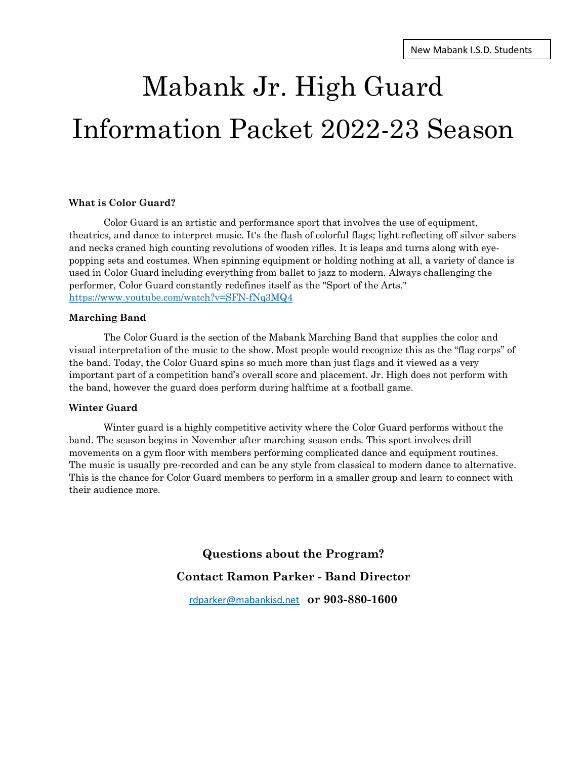# Mabank Jr. High Guard Information Packet 2022-23 Season

### **What is Color Guard?**

Color Guard is an artistic and performance sport that involves the use of equipment, theatrics, and dance to interpret music. It's the flash of colorful flags; light reflecting off silver sabers and necks craned high counting revolutions of wooden rifles. It is leaps and turns along with eyepopping sets and costumes. When spinning equipment or holding nothing at all, a variety of dance is used in Color Guard including everything from ballet to jazz to modern. Always challenging the performer, Color Guard constantly redefines itself as the "Sport of the Arts." <https://www.youtube.com/watch?v=SFN-fNq3MQ4>

#### **Marching Band**

The Color Guard is the section of the Mabank Marching Band that supplies the color and visual interpretation of the music to the show. Most people would recognize this as the "flag corps" of the band. Today, the Color Guard spins so much more than just flags and it viewed as a very important part of a competition band's overall score and placement. Jr. High does not perform with the band, however the guard does perform during halftime at a football game.

#### **Winter Guard**

Winter guard is a highly competitive activity where the Color Guard performs without the band. The season begins in November after marching season ends. This sport involves drill movements on a gym floor with members performing complicated dance and equipment routines. The music is usually pre-recorded and can be any style from classical to modern dance to alternative. This is the chance for Color Guard members to perform in a smaller group and learn to connect with their audience more.

> **Questions about the Program? Contact Ramon Parker - Band Director**

[rdparker@mabankisd.net](mailto:rdparker@mabankisd.net) **or 903-880-1600**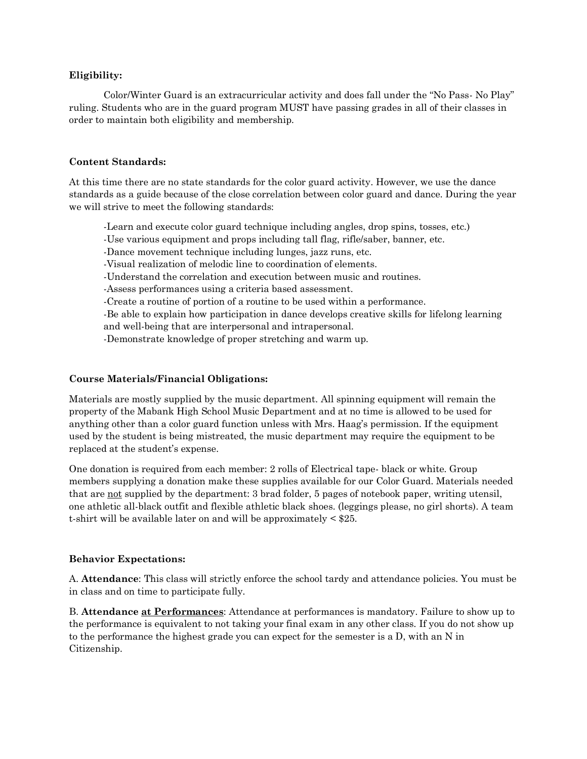## **Eligibility:**

Color/Winter Guard is an extracurricular activity and does fall under the "No Pass- No Play" ruling. Students who are in the guard program MUST have passing grades in all of their classes in order to maintain both eligibility and membership.

### **Content Standards:**

At this time there are no state standards for the color guard activity. However, we use the dance standards as a guide because of the close correlation between color guard and dance. During the year we will strive to meet the following standards:

-Learn and execute color guard technique including angles, drop spins, tosses, etc.) -Use various equipment and props including tall flag, rifle/saber, banner, etc. -Dance movement technique including lunges, jazz runs, etc. -Visual realization of melodic line to coordination of elements. -Understand the correlation and execution between music and routines. -Assess performances using a criteria based assessment. -Create a routine of portion of a routine to be used within a performance. -Be able to explain how participation in dance develops creative skills for lifelong learning and well-being that are interpersonal and intrapersonal. -Demonstrate knowledge of proper stretching and warm up.

## **Course Materials/Financial Obligations:**

Materials are mostly supplied by the music department. All spinning equipment will remain the property of the Mabank High School Music Department and at no time is allowed to be used for anything other than a color guard function unless with Mrs. Haag's permission. If the equipment used by the student is being mistreated, the music department may require the equipment to be replaced at the student's expense.

One donation is required from each member: 2 rolls of Electrical tape- black or white. Group members supplying a donation make these supplies available for our Color Guard. Materials needed that are not supplied by the department: 3 brad folder, 5 pages of notebook paper, writing utensil, one athletic all-black outfit and flexible athletic black shoes. (leggings please, no girl shorts). A team t-shirt will be available later on and will be approximately < \$25.

#### **Behavior Expectations:**

A. **Attendance**: This class will strictly enforce the school tardy and attendance policies. You must be in class and on time to participate fully.

B. **Attendance at Performances**: Attendance at performances is mandatory. Failure to show up to the performance is equivalent to not taking your final exam in any other class. If you do not show up to the performance the highest grade you can expect for the semester is a D, with an N in Citizenship.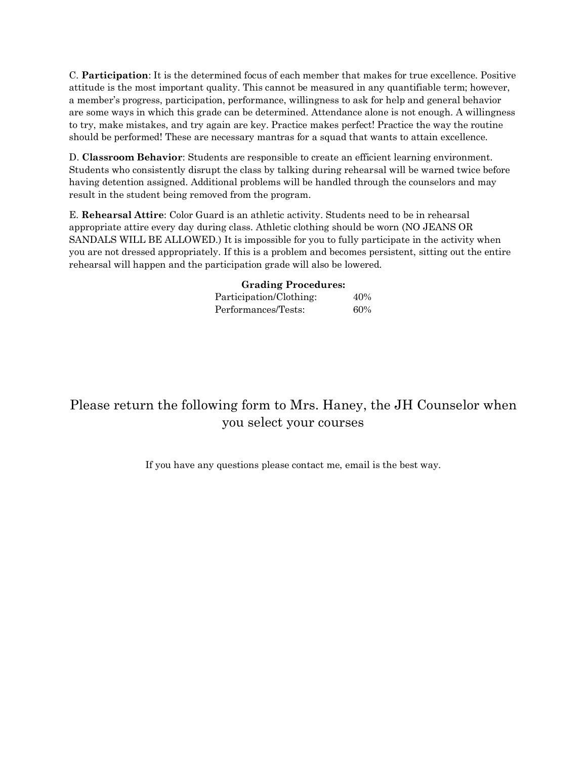C. **Participation**: It is the determined focus of each member that makes for true excellence. Positive attitude is the most important quality. This cannot be measured in any quantifiable term; however, a member's progress, participation, performance, willingness to ask for help and general behavior are some ways in which this grade can be determined. Attendance alone is not enough. A willingness to try, make mistakes, and try again are key. Practice makes perfect! Practice the way the routine should be performed! These are necessary mantras for a squad that wants to attain excellence.

D. **Classroom Behavior**: Students are responsible to create an efficient learning environment. Students who consistently disrupt the class by talking during rehearsal will be warned twice before having detention assigned. Additional problems will be handled through the counselors and may result in the student being removed from the program.

E. **Rehearsal Attire**: Color Guard is an athletic activity. Students need to be in rehearsal appropriate attire every day during class. Athletic clothing should be worn (NO JEANS OR SANDALS WILL BE ALLOWED.) It is impossible for you to fully participate in the activity when you are not dressed appropriately. If this is a problem and becomes persistent, sitting out the entire rehearsal will happen and the participation grade will also be lowered.

**Grading Procedures:**

| Participation/Clothing: | 40% |
|-------------------------|-----|
| Performances/Tests:     | 60% |

# Please return the following form to Mrs. Haney, the JH Counselor when you select your courses

If you have any questions please contact me, email is the best way.